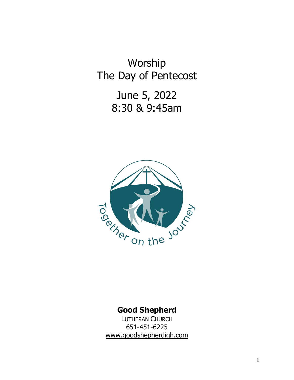Worship The Day of Pentecost

> June 5, 2022 8:30 & 9:45am



# **Good Shepherd**

LUTHERAN CHURCH 651-451-6225 www.goodshepherdigh.com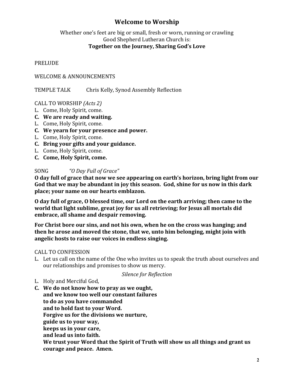## **Welcome to Worship**

## Whether one's feet are big or small, fresh or worn, running or crawling Good Shepherd Lutheran Church is: Together on the Journey, Sharing God's Love

#### **PRELUDE**

#### WELCOME & ANNOUNCEMENTS

TEMPLE TALK Chris Kelly, Synod Assembly Reflection

#### CALL TO WORSHIP *(Acts 2)*

- L. Come, Holy Spirit, come.
- **C. We are ready and waiting.**
- L. Come, Holy Spirit, come.
- **C. We yearn for your presence and power.**
- L. Come, Holy Spirit, come.
- **C. Bring your gifts and your guidance.**
- L. Come, Holy Spirit, come.
- **C. Come, Holy Spirit, come.**

## SONG *"O Day Full of Grace"*

**O** day full of grace that now we see appearing on earth's horizon, bring light from our God that we may be abundant in joy this season. God, shine for us now in this dark place; your name on our hearts emblazon.

**O** day full of grace, O blessed time, our Lord on the earth arriving; then came to the world that light sublime, great joy for us all retrieving; for Jesus all mortals did embrace, all shame and despair removing.

For Christ bore our sins, and not his own, when he on the cross was hanging; and then he arose and moved the stone, that we, unto him belonging, might join with angelic hosts to raise our voices in endless singing.

#### CALL TO CONFESSION

L. Let us call on the name of the One who invites us to speak the truth about ourselves and our relationships and promises to show us mercy.

#### *Silence for Reflection*

- L. Holy and Merciful God,
- **C.** We do not know how to pray as we ought. and we know too well our constant failures to do as you have commanded and to hold fast to your Word. Forgive us for the divisions we nurture, guide us to your way, **keeps** us in your care, **and lead us into faith.** We trust your Word that the Spirit of Truth will show us all things and grant us courage and peace. Amen.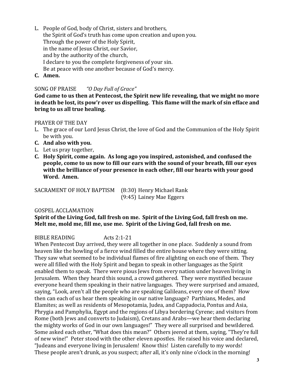- L. People of God, body of Christ, sisters and brothers, the Spirit of God's truth has come upon creation and upon you. Through the power of the Holy Spirit, in the name of Jesus Christ, our Savior, and by the authority of the church, I declare to you the complete forgiveness of your sin. Be at peace with one another because of God's mercy.
- **C. Amen.**

#### SONG OF PRAISE "O Day Full of Grace"

God came to us then at Pentecost, the Spirit new life revealing, that we might no more in death be lost, its pow'r over us dispelling. This flame will the mark of sin efface and **bring to us all true healing.** 

#### PRAYER OF THE DAY

- L. The grace of our Lord Jesus Christ, the love of God and the Communion of the Holy Spirit be with you.
- **C. And also with you.**
- L. Let us pray together,
- **C.** Holy Spirit, come again. As long ago you inspired, astonished, and confused the **people, come to us now to fill our ears with the sound of your breath, fill our eyes** with the brilliance of your presence in each other, fill our hearts with your good Word. Amen.

SACRAMENT OF HOLY BAPTISM (8:30) Henry Michael Rank (9:45) Lainey Mae Eggers

#### GOSPEL ACCLAMATION

## Spirit of the Living God, fall fresh on me. Spirit of the Living God, fall fresh on me. Melt me, mold me, fill me, use me. Spirit of the Living God, fall fresh on me.

BIBLE READING Acts 2:1-21

When Pentecost Day arrived, they were all together in one place. Suddenly a sound from heaven like the howling of a fierce wind filled the entire house where they were sitting. They saw what seemed to be individual flames of fire alighting on each one of them. They were all filled with the Holy Spirit and began to speak in other languages as the Spirit enabled them to speak. There were pious Jews from every nation under heaven living in Jerusalem. When they heard this sound, a crowd gathered. They were mystified because everyone heard them speaking in their native languages. They were surprised and amazed, saying, "Look, aren't all the people who are speaking Galileans, every one of them? How then can each of us hear them speaking in our native language? Parthians, Medes, and Elamites; as well as residents of Mesopotamia, Judea, and Cappadocia, Pontus and Asia, Phrygia and Pamphylia, Egypt and the regions of Libya bordering Cyrene; and visitors from Rome (both Jews and converts to Judaism), Cretans and Arabs—we hear them declaring the mighty works of God in our own languages!" They were all surprised and bewildered. Some asked each other, "What does this mean?" Others jeered at them, saying, "They're full of new wine!" Peter stood with the other eleven apostles. He raised his voice and declared, "Judeans and everyone living in Jerusalem! Know this! Listen carefully to my words! These people aren't drunk, as you suspect; after all, it's only nine o'clock in the morning!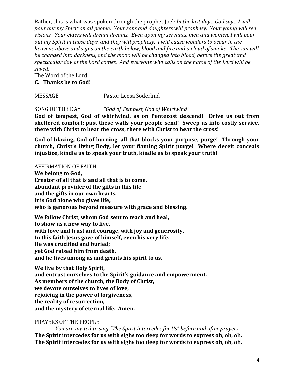Rather, this is what was spoken through the prophet *Joel: In the last days, God says, I will* pour out my Spirit on all people. Your sons and daughters will prophesy. Your young will see *visions. Your elders will dream dreams. Even upon my servants, men and women, I will pour out* my Spirit in those days, and they will prophesy. I will cause wonders to occur in the *heavens above and signs on the earth below, blood and fire and a cloud of smoke. The sun will be* changed into darkness, and the moon will be changed into blood, before the great and spectacular day of the Lord comes. And everyone who calls on the name of the Lord will be *saved.*

The Word of the Lord.

#### **C. Thanks be to God!**

**MESSAGE** Pastor Leesa Soderlind

SONG OF THE DAY *"God of Tempest, God of Whirlwind"* God of tempest, God of whirlwind, as on Pentecost descend! Drive us out from sheltered comfort; past these walls your people send! Sweep us into costly service, there with Christ to bear the cross, there with Christ to bear the cross!

God of blazing, God of burning, all that blocks your purpose, purge! Through your church, Christ's living Body, let your flaming Spirit purge! Where deceit conceals injustice, kindle us to speak your truth, kindle us to speak your truth!

#### **AFFIRMATION OF FAITH**

We belong to God, **Creator of all that is and all that is to come.** abundant provider of the gifts in this life and the gifts in our own hearts. It is God alone who gives life, who is generous beyond measure with grace and blessing.

We follow Christ, whom God sent to teach and heal, to show us a new way to live, with love and trust and courage, with joy and generosity. In this faith Jesus gave of himself, even his very life. **He was crucified and buried; yet God raised him from death,** and he lives among us and grants his spirit to us.

We live by that Holy Spirit, and entrust ourselves to the Spirit's guidance and empowerment. As members of the church, the Body of Christ, we devote ourselves to lives of love, rejoicing in the power of forgiveness, the reality of resurrection, and the mystery of eternal life. Amen.

#### PRAYERS OF THE PEOPLE

*You are invited to sing "The Spirit Intercedes for Us" before and after prayers* The Spirit intercedes for us with sighs too deep for words to express oh, oh, oh. The Spirit intercedes for us with sighs too deep for words to express oh, oh, oh.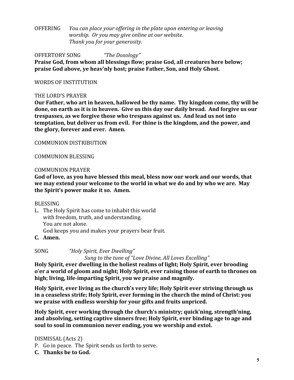#### OFFERING You can place your offering in the plate upon entering or leaving *worship.* Or you may give online at our website. *Thank you for your generosity.*

OFFERTORY SONG *"The Doxology"* Praise God, from whom all blessings flow; praise God, all creatures here below; praise God above, ye heav'nly host; praise Father, Son, and Holy Ghost.

#### WORDS OF INSTITUTION

#### THE LORD'S PRAYER

Our Father, who art in heaven, hallowed be thy name. Thy kingdom come, thy will be done, on earth as it is in heaven. Give us this day our daily bread. And forgive us our trespasses, as we forgive those who trespass against us. And lead us not into **temptation, but deliver us from evil. For thine is the kingdom, and the power, and** the glory, forever and ever. Amen.

COMMUNION DISTRIBUTION

#### COMMUNION BLESSING

#### COMMUNION PRAYER

God of love, as you have blessed this meal, bless now our work and our words, that we may extend your welcome to the world in what we do and by who we are. May the Spirit's power make it so. Amen.

#### BLESSING

L. The Holy Spirit has come to inhabit this world with freedom, truth, and understanding. You are not alone. God keeps you and makes your prayers bear fruit.

**C. Amen.**

SONG *"Holy Spirit, Ever Dwelling"* 

*Sung to the tune of "Love Divine, All Loves Excelling"* 

Holy Spirit, ever dwelling in the holiest realms of light; Holy Spirit, ever brooding o'er a world of gloom and night; Holy Spirit, ever raising those of earth to thrones on high; living, life-imparting Spirit, you we praise and magnify.

Holy Spirit, ever living as the church's very life; Holy Spirit ever striving through us in a ceaseless strife; Holy Spirit, ever forming in the church the mind of Christ: you we praise with endless worship for your gifts and fruits unpriced.

Holy Spirit, ever working through the church's ministry; quick'ning, strength'ning, and absolving, setting captive sinners free; Holy Spirit, ever binding age to age and soul to soul in communion never ending, you we worship and extol.

DISMISSAL (Acts 2)

P. Go in peace. The Spirit sends us forth to serve.

**C. Thanks be to God.**